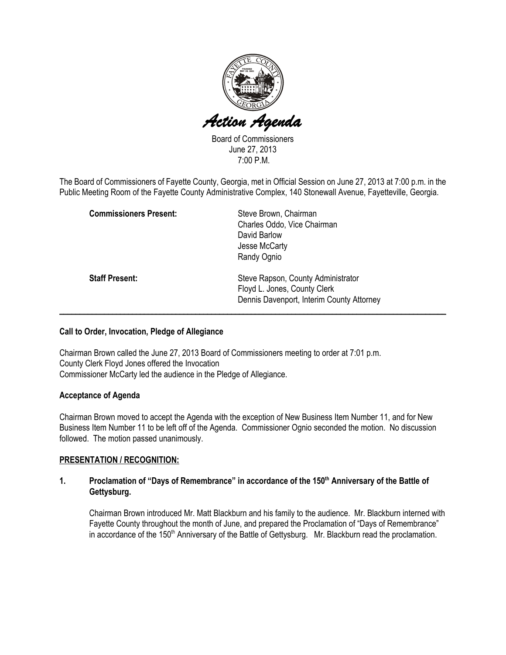

Board of Commissioners June 27, 2013 7:00 P.M.

The Board of Commissioners of Fayette County, Georgia, met in Official Session on June 27, 2013 at 7:00 p.m. in the Public Meeting Room of the Fayette County Administrative Complex, 140 Stonewall Avenue, Fayetteville, Georgia.

| <b>Commissioners Present:</b> | Steve Brown, Chairman<br>Charles Oddo, Vice Chairman<br>David Barlow                                            |
|-------------------------------|-----------------------------------------------------------------------------------------------------------------|
|                               | Jesse McCarty<br>Randy Ognio                                                                                    |
| <b>Staff Present:</b>         | Steve Rapson, County Administrator<br>Floyd L. Jones, County Clerk<br>Dennis Davenport, Interim County Attorney |

# Call to Order, Invocation, Pledge of Allegiance

Chairman Brown called the June 27, 2013 Board of Commissioners meeting to order at 7:01 p.m. County Clerk Floyd Jones offered the Invocation Commissioner McCarty led the audience in the Pledge of Allegiance.

### Acceptance of Agenda

Chairman Brown moved to accept the Agenda with the exception of New Business Item Number 11, and for New Business Item Number 11 to be left off of the Agenda. Commissioner Ognio seconded the motion. No discussion followed. The motion passed unanimously.

# PRESENTATION / RECOGNITION:

# 1. Proclamation of "Days of Remembrance" in accordance of the 150<sup>th</sup> Anniversary of the Battle of Gettysburg.

Chairman Brown introduced Mr. Matt Blackburn and his family to the audience. Mr. Blackburn interned with Fayette County throughout the month of June, and prepared the Proclamation of "Days of Remembrance" in accordance of the 150<sup>th</sup> Anniversary of the Battle of Gettysburg. Mr. Blackburn read the proclamation.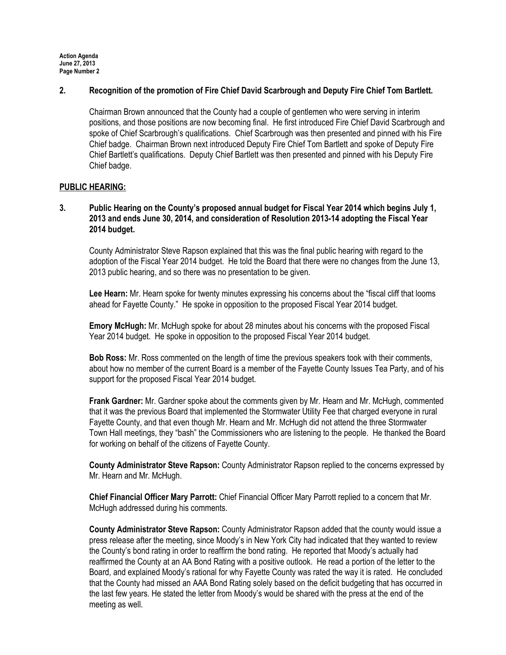## 2. Recognition of the promotion of Fire Chief David Scarbrough and Deputy Fire Chief Tom Bartlett.

Chairman Brown announced that the County had a couple of gentlemen who were serving in interim positions, and those positions are now becoming final. He first introduced Fire Chief David Scarbrough and spoke of Chief Scarbrough's qualifications. Chief Scarbrough was then presented and pinned with his Fire Chief badge. Chairman Brown next introduced Deputy Fire Chief Tom Bartlett and spoke of Deputy Fire Chief Bartlett's qualifications. Deputy Chief Bartlett was then presented and pinned with his Deputy Fire Chief badge.

# PUBLIC HEARING:

3. Public Hearing on the County's proposed annual budget for Fiscal Year 2014 which begins July 1, 2013 and ends June 30, 2014, and consideration of Resolution 2013-14 adopting the Fiscal Year 2014 budget.

County Administrator Steve Rapson explained that this was the final public hearing with regard to the adoption of the Fiscal Year 2014 budget. He told the Board that there were no changes from the June 13, 2013 public hearing, and so there was no presentation to be given.

Lee Hearn: Mr. Hearn spoke for twenty minutes expressing his concerns about the "fiscal cliff that looms ahead for Fayette County." He spoke in opposition to the proposed Fiscal Year 2014 budget.

Emory McHugh: Mr. McHugh spoke for about 28 minutes about his concerns with the proposed Fiscal Year 2014 budget. He spoke in opposition to the proposed Fiscal Year 2014 budget.

Bob Ross: Mr. Ross commented on the length of time the previous speakers took with their comments, about how no member of the current Board is a member of the Fayette County Issues Tea Party, and of his support for the proposed Fiscal Year 2014 budget.

Frank Gardner: Mr. Gardner spoke about the comments given by Mr. Hearn and Mr. McHugh, commented that it was the previous Board that implemented the Stormwater Utility Fee that charged everyone in rural Fayette County, and that even though Mr. Hearn and Mr. McHugh did not attend the three Stormwater Town Hall meetings, they "bash" the Commissioners who are listening to the people. He thanked the Board for working on behalf of the citizens of Fayette County.

County Administrator Steve Rapson: County Administrator Rapson replied to the concerns expressed by Mr. Hearn and Mr. McHugh.

Chief Financial Officer Mary Parrott: Chief Financial Officer Mary Parrott replied to a concern that Mr. McHugh addressed during his comments.

County Administrator Steve Rapson: County Administrator Rapson added that the county would issue a press release after the meeting, since Moody's in New York City had indicated that they wanted to review the County's bond rating in order to reaffirm the bond rating. He reported that Moody's actually had reaffirmed the County at an AA Bond Rating with a positive outlook. He read a portion of the letter to the Board, and explained Moody's rational for why Fayette County was rated the way it is rated. He concluded that the County had missed an AAA Bond Rating solely based on the deficit budgeting that has occurred in the last few years. He stated the letter from Moody's would be shared with the press at the end of the meeting as well.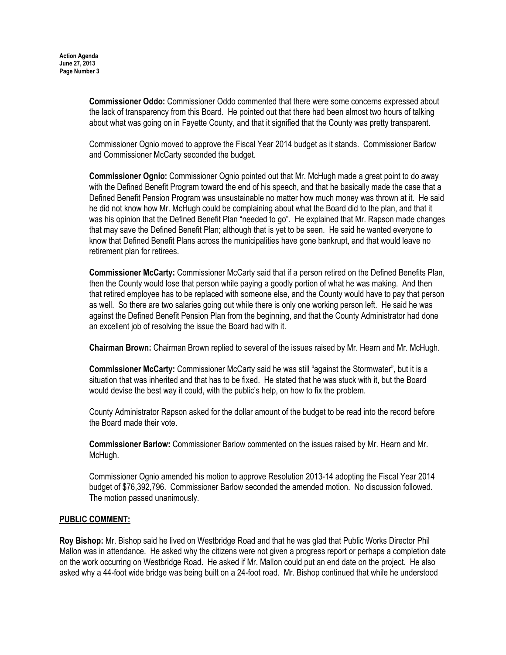Commissioner Oddo: Commissioner Oddo commented that there were some concerns expressed about the lack of transparency from this Board. He pointed out that there had been almost two hours of talking about what was going on in Fayette County, and that it signified that the County was pretty transparent.

Commissioner Ognio moved to approve the Fiscal Year 2014 budget as it stands. Commissioner Barlow and Commissioner McCarty seconded the budget.

Commissioner Ognio: Commissioner Ognio pointed out that Mr. McHugh made a great point to do away with the Defined Benefit Program toward the end of his speech, and that he basically made the case that a Defined Benefit Pension Program was unsustainable no matter how much money was thrown at it. He said he did not know how Mr. McHugh could be complaining about what the Board did to the plan, and that it was his opinion that the Defined Benefit Plan "needed to go". He explained that Mr. Rapson made changes that may save the Defined Benefit Plan; although that is yet to be seen. He said he wanted everyone to know that Defined Benefit Plans across the municipalities have gone bankrupt, and that would leave no retirement plan for retirees.

Commissioner McCarty: Commissioner McCarty said that if a person retired on the Defined Benefits Plan, then the County would lose that person while paying a goodly portion of what he was making. And then that retired employee has to be replaced with someone else, and the County would have to pay that person as well. So there are two salaries going out while there is only one working person left. He said he was against the Defined Benefit Pension Plan from the beginning, and that the County Administrator had done an excellent job of resolving the issue the Board had with it.

Chairman Brown: Chairman Brown replied to several of the issues raised by Mr. Hearn and Mr. McHugh.

Commissioner McCarty: Commissioner McCarty said he was still "against the Stormwater", but it is a situation that was inherited and that has to be fixed. He stated that he was stuck with it, but the Board would devise the best way it could, with the public's help, on how to fix the problem.

County Administrator Rapson asked for the dollar amount of the budget to be read into the record before the Board made their vote.

Commissioner Barlow: Commissioner Barlow commented on the issues raised by Mr. Hearn and Mr. McHugh.

Commissioner Ognio amended his motion to approve Resolution 2013-14 adopting the Fiscal Year 2014 budget of \$76,392,796. Commissioner Barlow seconded the amended motion. No discussion followed. The motion passed unanimously.

### PUBLIC COMMENT:

Roy Bishop: Mr. Bishop said he lived on Westbridge Road and that he was glad that Public Works Director Phil Mallon was in attendance. He asked why the citizens were not given a progress report or perhaps a completion date on the work occurring on Westbridge Road. He asked if Mr. Mallon could put an end date on the project. He also asked why a 44-foot wide bridge was being built on a 24-foot road. Mr. Bishop continued that while he understood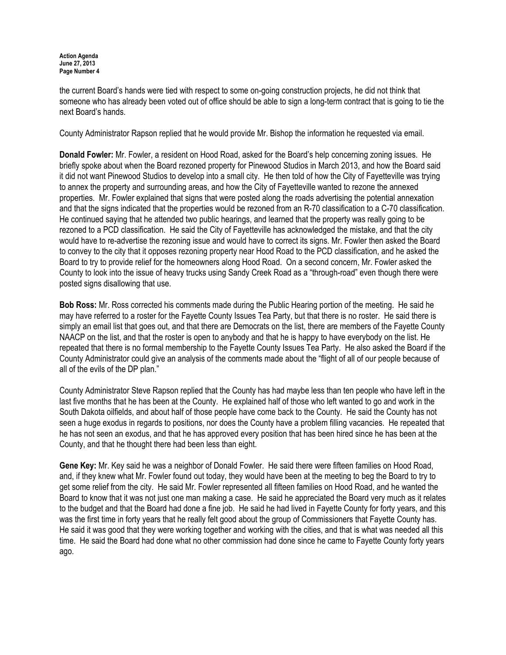the current Board's hands were tied with respect to some on-going construction projects, he did not think that someone who has already been voted out of office should be able to sign a long-term contract that is going to tie the next Board's hands.

County Administrator Rapson replied that he would provide Mr. Bishop the information he requested via email.

Donald Fowler: Mr. Fowler, a resident on Hood Road, asked for the Board's help concerning zoning issues. He briefly spoke about when the Board rezoned property for Pinewood Studios in March 2013, and how the Board said it did not want Pinewood Studios to develop into a small city. He then told of how the City of Fayetteville was trying to annex the property and surrounding areas, and how the City of Fayetteville wanted to rezone the annexed properties. Mr. Fowler explained that signs that were posted along the roads advertising the potential annexation and that the signs indicated that the properties would be rezoned from an R-70 classification to a C-70 classification. He continued saying that he attended two public hearings, and learned that the property was really going to be rezoned to a PCD classification. He said the City of Fayetteville has acknowledged the mistake, and that the city would have to re-advertise the rezoning issue and would have to correct its signs. Mr. Fowler then asked the Board to convey to the city that it opposes rezoning property near Hood Road to the PCD classification, and he asked the Board to try to provide relief for the homeowners along Hood Road. On a second concern, Mr. Fowler asked the County to look into the issue of heavy trucks using Sandy Creek Road as a "through-road" even though there were posted signs disallowing that use.

Bob Ross: Mr. Ross corrected his comments made during the Public Hearing portion of the meeting. He said he may have referred to a roster for the Fayette County Issues Tea Party, but that there is no roster. He said there is simply an email list that goes out, and that there are Democrats on the list, there are members of the Fayette County NAACP on the list, and that the roster is open to anybody and that he is happy to have everybody on the list. He repeated that there is no formal membership to the Fayette County Issues Tea Party. He also asked the Board if the County Administrator could give an analysis of the comments made about the "flight of all of our people because of all of the evils of the DP plan."

County Administrator Steve Rapson replied that the County has had maybe less than ten people who have left in the last five months that he has been at the County. He explained half of those who left wanted to go and work in the South Dakota oilfields, and about half of those people have come back to the County. He said the County has not seen a huge exodus in regards to positions, nor does the County have a problem filling vacancies. He repeated that he has not seen an exodus, and that he has approved every position that has been hired since he has been at the County, and that he thought there had been less than eight.

Gene Key: Mr. Key said he was a neighbor of Donald Fowler. He said there were fifteen families on Hood Road, and, if they knew what Mr. Fowler found out today, they would have been at the meeting to beg the Board to try to get some relief from the city. He said Mr. Fowler represented all fifteen families on Hood Road, and he wanted the Board to know that it was not just one man making a case. He said he appreciated the Board very much as it relates to the budget and that the Board had done a fine job. He said he had lived in Fayette County for forty years, and this was the first time in forty years that he really felt good about the group of Commissioners that Fayette County has. He said it was good that they were working together and working with the cities, and that is what was needed all this time. He said the Board had done what no other commission had done since he came to Fayette County forty years ago.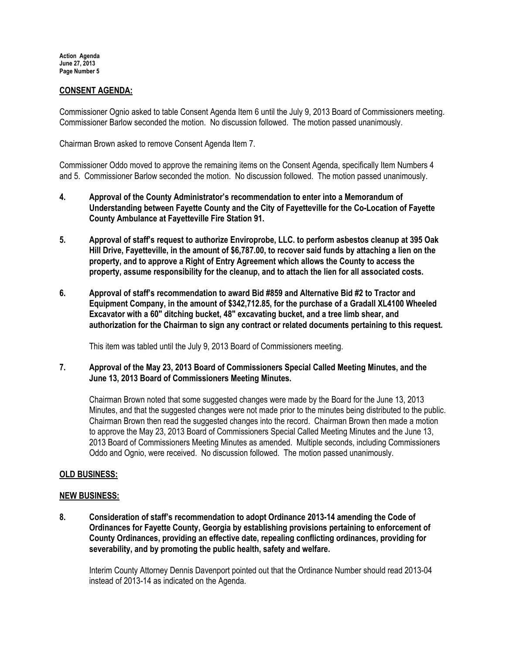# CONSENT AGENDA:

Commissioner Ognio asked to table Consent Agenda Item 6 until the July 9, 2013 Board of Commissioners meeting. Commissioner Barlow seconded the motion. No discussion followed. The motion passed unanimously.

Chairman Brown asked to remove Consent Agenda Item 7.

Commissioner Oddo moved to approve the remaining items on the Consent Agenda, specifically Item Numbers 4 and 5. Commissioner Barlow seconded the motion. No discussion followed. The motion passed unanimously.

- 4. Approval of the County Administrator's recommendation to enter into a Memorandum of Understanding between Fayette County and the City of Fayetteville for the Co-Location of Fayette County Ambulance at Fayetteville Fire Station 91.
- 5. Approval of staff's request to authorize Enviroprobe, LLC. to perform asbestos cleanup at 395 Oak Hill Drive, Fayetteville, in the amount of \$6,787.00, to recover said funds by attaching a lien on the property, and to approve a Right of Entry Agreement which allows the County to access the property, assume responsibility for the cleanup, and to attach the lien for all associated costs.
- 6. Approval of staff's recommendation to award Bid #859 and Alternative Bid #2 to Tractor and Equipment Company, in the amount of \$342,712.85, for the purchase of a Gradall XL4100 Wheeled Excavator with a 60" ditching bucket, 48" excavating bucket, and a tree limb shear, and authorization for the Chairman to sign any contract or related documents pertaining to this request.

This item was tabled until the July 9, 2013 Board of Commissioners meeting.

7. Approval of the May 23, 2013 Board of Commissioners Special Called Meeting Minutes, and the June 13, 2013 Board of Commissioners Meeting Minutes.

Chairman Brown noted that some suggested changes were made by the Board for the June 13, 2013 Minutes, and that the suggested changes were not made prior to the minutes being distributed to the public. Chairman Brown then read the suggested changes into the record. Chairman Brown then made a motion to approve the May 23, 2013 Board of Commissioners Special Called Meeting Minutes and the June 13, 2013 Board of Commissioners Meeting Minutes as amended. Multiple seconds, including Commissioners Oddo and Ognio, were received. No discussion followed. The motion passed unanimously.

### OLD BUSINESS:

### NEW BUSINESS:

8. Consideration of staff's recommendation to adopt Ordinance 2013-14 amending the Code of Ordinances for Fayette County, Georgia by establishing provisions pertaining to enforcement of County Ordinances, providing an effective date, repealing conflicting ordinances, providing for severability, and by promoting the public health, safety and welfare.

Interim County Attorney Dennis Davenport pointed out that the Ordinance Number should read 2013-04 instead of 2013-14 as indicated on the Agenda.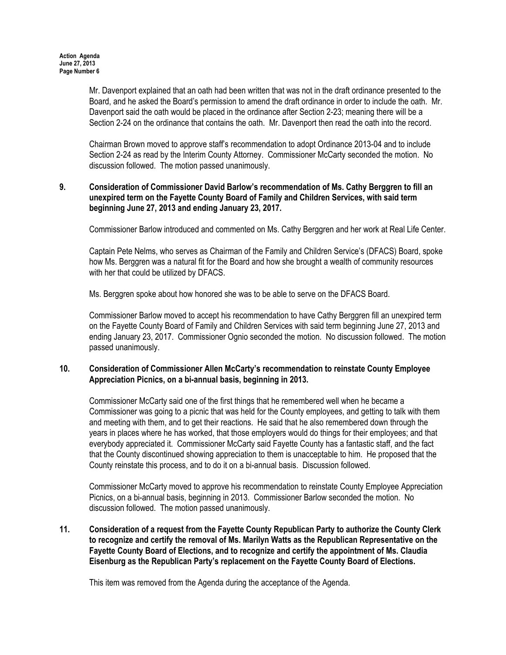Mr. Davenport explained that an oath had been written that was not in the draft ordinance presented to the Board, and he asked the Board's permission to amend the draft ordinance in order to include the oath. Mr. Davenport said the oath would be placed in the ordinance after Section 2-23; meaning there will be a Section 2-24 on the ordinance that contains the oath. Mr. Davenport then read the oath into the record.

Chairman Brown moved to approve staff's recommendation to adopt Ordinance 2013-04 and to include Section 2-24 as read by the Interim County Attorney. Commissioner McCarty seconded the motion. No discussion followed. The motion passed unanimously.

# 9. Consideration of Commissioner David Barlow's recommendation of Ms. Cathy Berggren to fill an unexpired term on the Fayette County Board of Family and Children Services, with said term beginning June 27, 2013 and ending January 23, 2017.

Commissioner Barlow introduced and commented on Ms. Cathy Berggren and her work at Real Life Center.

Captain Pete Nelms, who serves as Chairman of the Family and Children Service's (DFACS) Board, spoke how Ms. Berggren was a natural fit for the Board and how she brought a wealth of community resources with her that could be utilized by DFACS.

Ms. Berggren spoke about how honored she was to be able to serve on the DFACS Board.

Commissioner Barlow moved to accept his recommendation to have Cathy Berggren fill an unexpired term on the Fayette County Board of Family and Children Services with said term beginning June 27, 2013 and ending January 23, 2017. Commissioner Ognio seconded the motion. No discussion followed. The motion passed unanimously.

### 10. Consideration of Commissioner Allen McCarty's recommendation to reinstate County Employee Appreciation Picnics, on a bi-annual basis, beginning in 2013.

Commissioner McCarty said one of the first things that he remembered well when he became a Commissioner was going to a picnic that was held for the County employees, and getting to talk with them and meeting with them, and to get their reactions. He said that he also remembered down through the years in places where he has worked, that those employers would do things for their employees; and that everybody appreciated it. Commissioner McCarty said Fayette County has a fantastic staff, and the fact that the County discontinued showing appreciation to them is unacceptable to him. He proposed that the County reinstate this process, and to do it on a bi-annual basis. Discussion followed.

Commissioner McCarty moved to approve his recommendation to reinstate County Employee Appreciation Picnics, on a bi-annual basis, beginning in 2013. Commissioner Barlow seconded the motion. No discussion followed. The motion passed unanimously.

# 11. Consideration of a request from the Fayette County Republican Party to authorize the County Clerk to recognize and certify the removal of Ms. Marilyn Watts as the Republican Representative on the Fayette County Board of Elections, and to recognize and certify the appointment of Ms. Claudia Eisenburg as the Republican Party's replacement on the Fayette County Board of Elections.

This item was removed from the Agenda during the acceptance of the Agenda.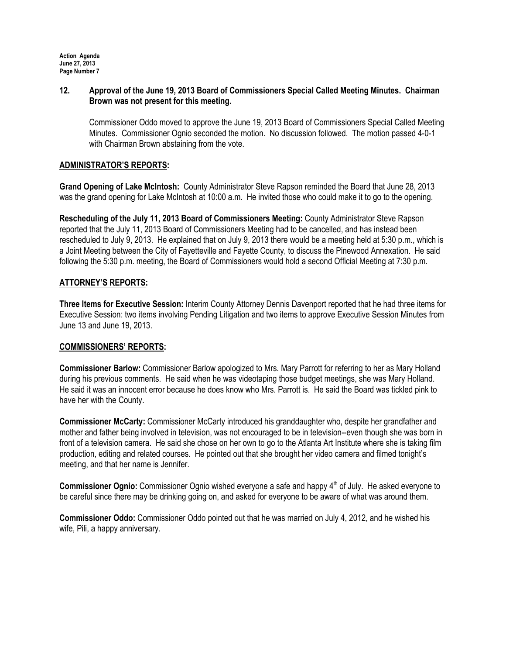## 12. Approval of the June 19, 2013 Board of Commissioners Special Called Meeting Minutes. Chairman Brown was not present for this meeting.

Commissioner Oddo moved to approve the June 19, 2013 Board of Commissioners Special Called Meeting Minutes. Commissioner Ognio seconded the motion. No discussion followed. The motion passed 4-0-1 with Chairman Brown abstaining from the vote.

# ADMINISTRATOR'S REPORTS:

Grand Opening of Lake McIntosh: County Administrator Steve Rapson reminded the Board that June 28, 2013 was the grand opening for Lake McIntosh at 10:00 a.m. He invited those who could make it to go to the opening.

Rescheduling of the July 11, 2013 Board of Commissioners Meeting: County Administrator Steve Rapson reported that the July 11, 2013 Board of Commissioners Meeting had to be cancelled, and has instead been rescheduled to July 9, 2013. He explained that on July 9, 2013 there would be a meeting held at 5:30 p.m., which is a Joint Meeting between the City of Fayetteville and Fayette County, to discuss the Pinewood Annexation. He said following the 5:30 p.m. meeting, the Board of Commissioners would hold a second Official Meeting at 7:30 p.m.

# ATTORNEY'S REPORTS:

Three Items for Executive Session: Interim County Attorney Dennis Davenport reported that he had three items for Executive Session: two items involving Pending Litigation and two items to approve Executive Session Minutes from June 13 and June 19, 2013.

### COMMISSIONERS' REPORTS:

Commissioner Barlow: Commissioner Barlow apologized to Mrs. Mary Parrott for referring to her as Mary Holland during his previous comments. He said when he was videotaping those budget meetings, she was Mary Holland. He said it was an innocent error because he does know who Mrs. Parrott is. He said the Board was tickled pink to have her with the County.

Commissioner McCarty: Commissioner McCarty introduced his granddaughter who, despite her grandfather and mother and father being involved in television, was not encouraged to be in television--even though she was born in front of a television camera. He said she chose on her own to go to the Atlanta Art Institute where she is taking film production, editing and related courses. He pointed out that she brought her video camera and filmed tonight's meeting, and that her name is Jennifer.

**Commissioner Ognio:** Commissioner Ognio wished everyone a safe and happy  $4<sup>th</sup>$  of July. He asked everyone to be careful since there may be drinking going on, and asked for everyone to be aware of what was around them.

Commissioner Oddo: Commissioner Oddo pointed out that he was married on July 4, 2012, and he wished his wife, Pili, a happy anniversary.